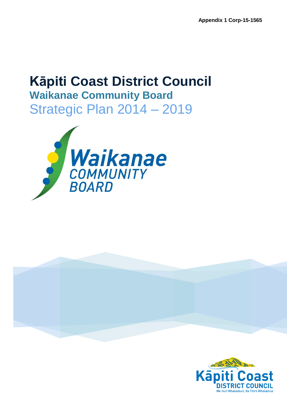# **Kāpiti Coast District Council Waikanae Community Board** Strategic Plan 2014 – 2019





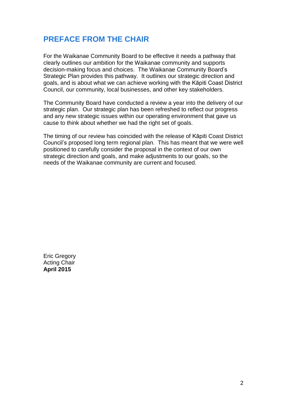# **PREFACE FROM THE CHAIR**

For the Waikanae Community Board to be effective it needs a pathway that clearly outlines our ambition for the Waikanae community and supports decision-making focus and choices. The Waikanae Community Board's Strategic Plan provides this pathway. It outlines our strategic direction and goals, and is about what we can achieve working with the Kāpiti Coast District Council, our community, local businesses, and other key stakeholders.

The Community Board have conducted a review a year into the delivery of our strategic plan. Our strategic plan has been refreshed to reflect our progress and any new strategic issues within our operating environment that gave us cause to think about whether we had the right set of goals.

The timing of our review has coincided with the release of Kāpiti Coast District Council's proposed long term regional plan. This has meant that we were well positioned to carefully consider the proposal in the context of our own strategic direction and goals, and make adjustments to our goals, so the needs of the Waikanae community are current and focused.

Eric Gregory Acting Chair **April 2015**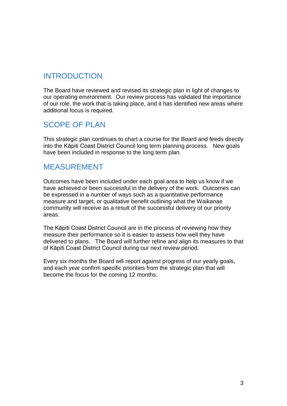# INTRODUCTION

The Board have reviewed and revised its strategic plan in light of changes to our operating environment. Our review process has validated the importance of our role, the work that is taking place, and it has identified new areas where additional focus is required.

# SCOPE OF PLAN

This strategic plan continues to chart a course for the Board and feeds directly into the Kāpiti Coast District Council long term planning process. New goals have been included in response to the long term plan.

# MEASUREMENT

Outcomes have been included under each goal area to help us know if we have achieved or been successful in the delivery of the work. Outcomes can be expressed in a number of ways such as a quantitative performance measure and target, or qualitative benefit outlining what the Waikanae community will receive as a result of the successful delivery of our priority areas.

The Kāpiti Coast District Council are in the process of reviewing how they measure their performance so it is easier to assess how well they have delivered to plans. The Board will further refine and align its measures to that of Kāpiti Coast District Council during our next review period.

Every six months the Board will report against progress of our yearly goals, and each year confirm specific priorities from the strategic plan that will become the focus for the coming 12 months.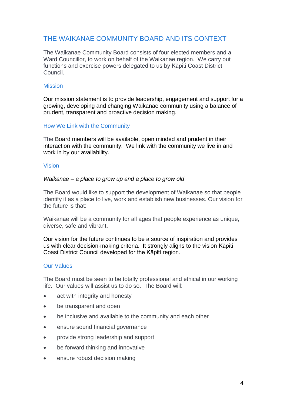# THE WAIKANAE COMMUNITY BOARD AND ITS CONTEXT

The Waikanae Community Board consists of four elected members and a Ward Councillor, to work on behalf of the Waikanae region. We carry out functions and exercise powers delegated to us by Kāpiti Coast District Council.

#### **Mission**

Our mission statement is to provide leadership, engagement and support for a growing, developing and changing Waikanae community using a balance of prudent, transparent and proactive decision making.

#### How We Link with the Community

The Board members will be available, open minded and prudent in their interaction with the community. We link with the community we live in and work in by our availability.

#### Vision

#### *Waikanae – a place to grow up and a place to grow old*

The Board would like to support the development of Waikanae so that people identify it as a place to live, work and establish new businesses. Our vision for the future is that:

Waikanae will be a community for all ages that people experience as unique, diverse, safe and vibrant.

Our vision for the future continues to be a source of inspiration and provides us with clear decision-making criteria. It strongly aligns to the vision Kāpiti Coast District Council developed for the Kāpiti region.

#### Our Values

The Board must be seen to be totally professional and ethical in our working life. Our values will assist us to do so. The Board will:

- act with integrity and honesty
- be transparent and open
- be inclusive and available to the community and each other
- ensure sound financial governance
- provide strong leadership and support
- be forward thinking and innovative
- ensure robust decision making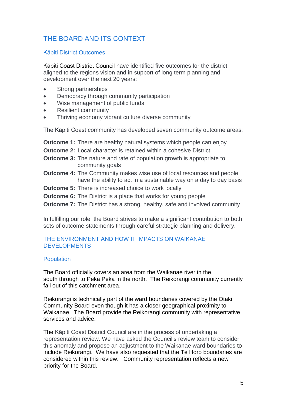# THE BOARD AND ITS CONTEXT

#### Kāpiti District Outcomes

Kāpiti Coast District Council have identified five outcomes for the district aligned to the regions vision and in support of long term planning and development over the next 20 years:

- Strong partnerships
- Democracy through community participation
- Wise management of public funds
- Resilient community
- Thriving economy vibrant culture diverse community

The Kāpiti Coast community has developed seven community outcome areas:

**Outcome 1:** There are healthy natural systems which people can enjoy

- **Outcome 2:** Local character is retained within a cohesive District
- **Outcome 3:** The nature and rate of population growth is appropriate to community goals
- **Outcome 4:** The Community makes wise use of local resources and people have the ability to act in a sustainable way on a day to day basis
- **Outcome 5:** There is increased choice to work locally
- **Outcome 6:** The District is a place that works for young people
- **Outcome 7:** The District has a strong, healthy, safe and involved community

In fulfilling our role, the Board strives to make a significant contribution to both sets of outcome statements through careful strategic planning and delivery.

#### THE ENVIRONMENT AND HOW IT IMPACTS ON WAIKANAE DEVELOPMENTS

#### **Population**

The Board officially covers an area from the Waikanae river in the south through to Peka Peka in the north. The Reikorangi community currently fall out of this catchment area.

Reikorangi is technically part of the ward boundaries covered by the Otaki Community Board even though it has a closer geographical proximity to Waikanae. The Board provide the Reikorangi community with representative services and advice.

The Kāpiti Coast District Council are in the process of undertaking a representation review. We have asked the Council's review team to consider this anomaly and propose an adjustment to the Waikanae ward boundaries to include Reikorangi. We have also requested that the Te Horo boundaries are considered within this review. Community representation reflects a new priority for the Board.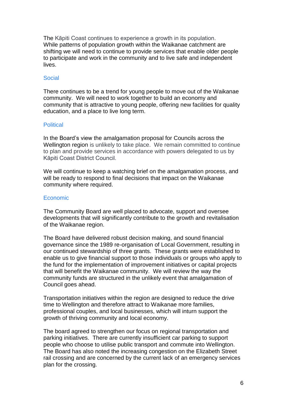The Kāpiti Coast continues to experience a growth in its population. While patterns of population growth within the Waikanae catchment are shifting we will need to continue to provide services that enable older people to participate and work in the community and to live safe and independent lives.

#### Social

There continues to be a trend for young people to move out of the Waikanae community. We will need to work together to build an economy and community that is attractive to young people, offering new facilities for quality education, and a place to live long term.

#### **Political**

In the Board's view the amalgamation proposal for Councils across the Wellington region is unlikely to take place. We remain committed to continue to plan and provide services in accordance with powers delegated to us by Kāpiti Coast District Council.

We will continue to keep a watching brief on the amalgamation process, and will be ready to respond to final decisions that impact on the Waikanae community where required.

#### Economic

The Community Board are well placed to advocate, support and oversee developments that will significantly contribute to the growth and revitalisation of the Waikanae region.

The Board have delivered robust decision making, and sound financial governance since the 1989 re-organisation of Local Government, resulting in our continued stewardship of three grants. These grants were established to enable us to give financial support to those individuals or groups who apply to the fund for the implementation of improvement initiatives or capital projects that will benefit the Waikanae community. We will review the way the community funds are structured in the unlikely event that amalgamation of Council goes ahead.

Transportation initiatives within the region are designed to reduce the drive time to Wellington and therefore attract to Waikanae more families, professional couples, and local businesses, which will inturn support the growth of thriving community and local economy.

The board agreed to strengthen our focus on regional transportation and parking initiatives. There are currently insufficient car parking to support people who choose to utilise public transport and commute into Wellington. The Board has also noted the increasing congestion on the Elizabeth Street rail crossing and are concerned by the current lack of an emergency services plan for the crossing.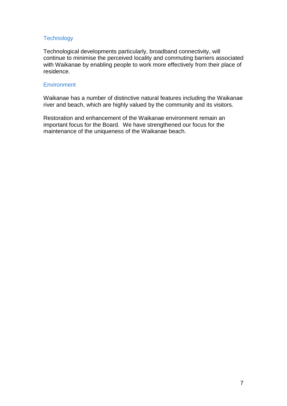#### **Technology**

Technological developments particularly, broadband connectivity, will continue to minimise the perceived locality and commuting barriers associated with Waikanae by enabling people to work more effectively from their place of residence.

#### **Environment**

Waikanae has a number of distinctive natural features including the Waikanae river and beach, which are highly valued by the community and its visitors.

Restoration and enhancement of the Waikanae environment remain an important focus for the Board. We have strengthened our focus for the maintenance of the uniqueness of the Waikanae beach.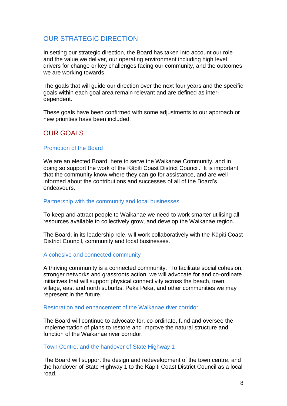In setting our strategic direction, the Board has taken into account our role and the value we deliver, our operating environment including high level drivers for change or key challenges facing our community, and the outcomes we are working towards.

The goals that will guide our direction over the next four years and the specific goals within each goal area remain relevant and are defined as interdependent.

These goals have been confirmed with some adjustments to our approach or new priorities have been included.

# OUR GOALS

#### Promotion of the Board

We are an elected Board, here to serve the Waikanae Community, and in doing so support the work of the Kāpiti Coast District Council. It is important that the community know where they can go for assistance, and are well informed about the contributions and successes of all of the Board's endeavours.

#### Partnership with the community and local businesses

To keep and attract people to Waikanae we need to work smarter utilising all resources available to collectively grow, and develop the Waikanae region.

The Board, in its leadership role, will work collaboratively with the Kāpiti Coast District Council, community and local businesses.

#### A cohesive and connected community

A thriving community is a connected community. To facilitate social cohesion, stronger networks and grassroots action, we will advocate for and co-ordinate initiatives that will support physical connectivity across the beach, town, village, east and north suburbs, Peka Peka, and other communities we may represent in the future.

#### Restoration and enhancement of the Waikanae river corridor

The Board will continue to advocate for, co-ordinate, fund and oversee the implementation of plans to restore and improve the natural structure and function of the Waikanae river corridor.

#### Town Centre, and the handover of State Highway 1

The Board will support the design and redevelopment of the town centre, and the handover of State Highway 1 to the Kāpiti Coast District Council as a local road.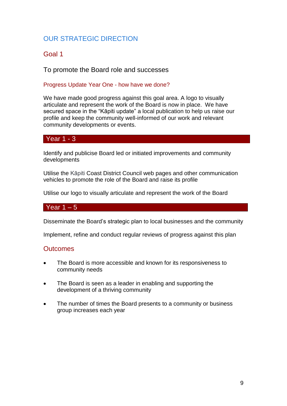### Goal 1

To promote the Board role and successes

#### Progress Update Year One - how have we done?

We have made good progress against this goal area. A logo to visually articulate and represent the work of the Board is now in place. We have secured space in the "Kāpiti update" a local publication to help us raise our profile and keep the community well-informed of our work and relevant community developments or events.

#### Year 1 - 3

Identify and publicise Board led or initiated improvements and community developments

Utilise the Kāpiti Coast District Council web pages and other communication vehicles to promote the role of the Board and raise its profile

Utilise our logo to visually articulate and represent the work of the Board

#### Year  $1 - 5$

Disseminate the Board's strategic plan to local businesses and the community

Implement, refine and conduct regular reviews of progress against this plan

- The Board is more accessible and known for its responsiveness to community needs
- The Board is seen as a leader in enabling and supporting the development of a thriving community
- The number of times the Board presents to a community or business group increases each year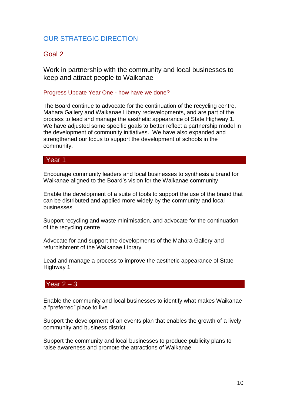### Goal 2

Work in partnership with the community and local businesses to keep and attract people to Waikanae

#### Progress Update Year One - how have we done?

The Board continue to advocate for the continuation of the recycling centre, Mahara Gallery and Waikanae Library redevelopments, and are part of the process to lead and manage the aesthetic appearance of State Highway 1. We have adjusted some specific goals to better reflect a partnership model in the development of community initiatives. We have also expanded and strengthened our focus to support the development of schools in the community.

#### Year 1

Encourage community leaders and local businesses to synthesis a brand for Waikanae aligned to the Board's vision for the Waikanae community

Enable the development of a suite of tools to support the use of the brand that can be distributed and applied more widely by the community and local businesses

Support recycling and waste minimisation, and advocate for the continuation of the recycling centre

Advocate for and support the developments of the Mahara Gallery and refurbishment of the Waikanae Library

Lead and manage a process to improve the aesthetic appearance of State Highway 1

### $Year 2 - 3$

Enable the community and local businesses to identify what makes Waikanae a "preferred" place to live

Support the development of an events plan that enables the growth of a lively community and business district

Support the community and local businesses to produce publicity plans to raise awareness and promote the attractions of Waikanae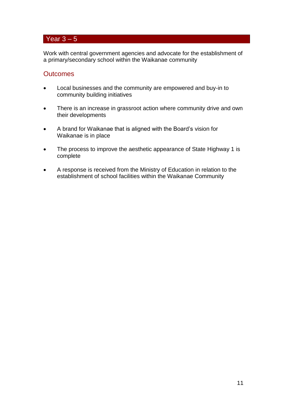# Year  $3 - 5$

Work with central government agencies and advocate for the establishment of a primary/secondary school within the Waikanae community

- Local businesses and the community are empowered and buy-in to community building initiatives
- There is an increase in grassroot action where community drive and own their developments
- A brand for Waikanae that is aligned with the Board's vision for Waikanae is in place
- The process to improve the aesthetic appearance of State Highway 1 is complete
- A response is received from the Ministry of Education in relation to the establishment of school facilities within the Waikanae Community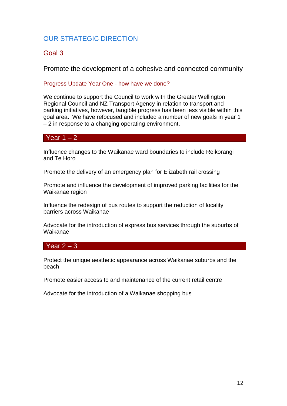# Goal 3

Promote the development of a cohesive and connected community

#### Progress Update Year One - how have we done?

We continue to support the Council to work with the Greater Wellington Regional Council and NZ Transport Agency in relation to transport and parking initiatives, however, tangible progress has been less visible within this goal area. We have refocused and included a number of new goals in year 1 – 2 in response to a changing operating environment.

#### Year  $1 - 2$

Influence changes to the Waikanae ward boundaries to include Reikorangi and Te Horo

Promote the delivery of an emergency plan for Elizabeth rail crossing

Promote and influence the development of improved parking facilities for the Waikanae region

Influence the redesign of bus routes to support the reduction of locality barriers across Waikanae

Advocate for the introduction of express bus services through the suburbs of Waikanae

#### Year  $2 - 3$

Protect the unique aesthetic appearance across Waikanae suburbs and the beach

Promote easier access to and maintenance of the current retail centre

Advocate for the introduction of a Waikanae shopping bus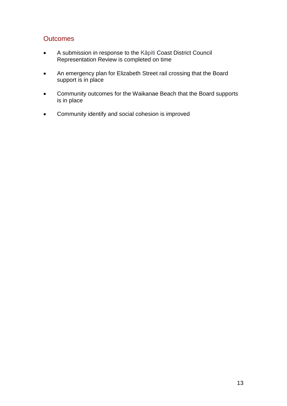- A submission in response to the Kāpiti Coast District Council Representation Review is completed on time
- An emergency plan for Elizabeth Street rail crossing that the Board support is in place
- Community outcomes for the Waikanae Beach that the Board supports is in place
- Community identify and social cohesion is improved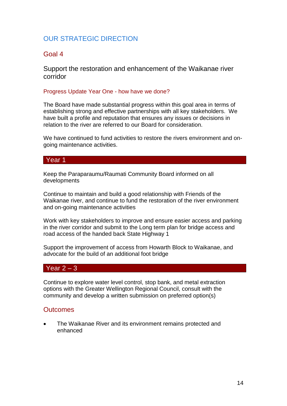#### Goal 4

Support the restoration and enhancement of the Waikanae river corridor

#### Progress Update Year One - how have we done?

The Board have made substantial progress within this goal area in terms of establishing strong and effective partnerships with all key stakeholders. We have built a profile and reputation that ensures any issues or decisions in relation to the river are referred to our Board for consideration.

We have continued to fund activities to restore the rivers environment and ongoing maintenance activities.

#### Year 1

Keep the Paraparaumu/Raumati Community Board informed on all developments

Continue to maintain and build a good relationship with Friends of the Waikanae river, and continue to fund the restoration of the river environment and on-going maintenance activities

Work with key stakeholders to improve and ensure easier access and parking in the river corridor and submit to the Long term plan for bridge access and road access of the handed back State Highway 1

Support the improvement of access from Howarth Block to Waikanae, and advocate for the build of an additional foot bridge

#### Year  $2 - 3$

Continue to explore water level control, stop bank, and metal extraction options with the Greater Wellington Regional Council, consult with the community and develop a written submission on preferred option(s)

#### **Outcomes**

 The Waikanae River and its environment remains protected and enhanced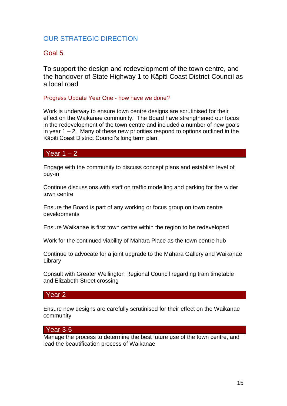## Goal 5

To support the design and redevelopment of the town centre, and the handover of State Highway 1 to Kāpiti Coast District Council as a local road

#### Progress Update Year One - how have we done?

Work is underway to ensure town centre designs are scrutinised for their effect on the Waikanae community. The Board have strengthened our focus in the redevelopment of the town centre and included a number of new goals in year  $1 - 2$ . Many of these new priorities respond to options outlined in the Kāpiti Coast District Council's long term plan.

#### Year  $1 - 2$

Engage with the community to discuss concept plans and establish level of buy-in

Continue discussions with staff on traffic modelling and parking for the wider town centre

Ensure the Board is part of any working or focus group on town centre developments

Ensure Waikanae is first town centre within the region to be redeveloped

Work for the continued viability of Mahara Place as the town centre hub

Continue to advocate for a joint upgrade to the Mahara Gallery and Waikanae Library

Consult with Greater Wellington Regional Council regarding train timetable and Elizabeth Street crossing

#### Year 2

Ensure new designs are carefully scrutinised for their effect on the Waikanae community

#### Year 3-5

Manage the process to determine the best future use of the town centre, and lead the beautification process of Waikanae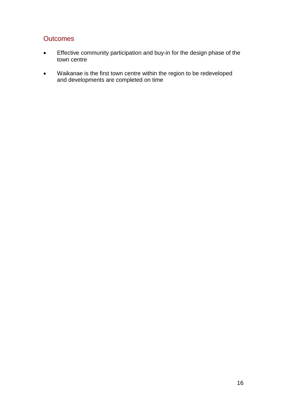- Effective community participation and buy-in for the design phase of the town centre
- Waikanae is the first town centre within the region to be redeveloped and developments are completed on time